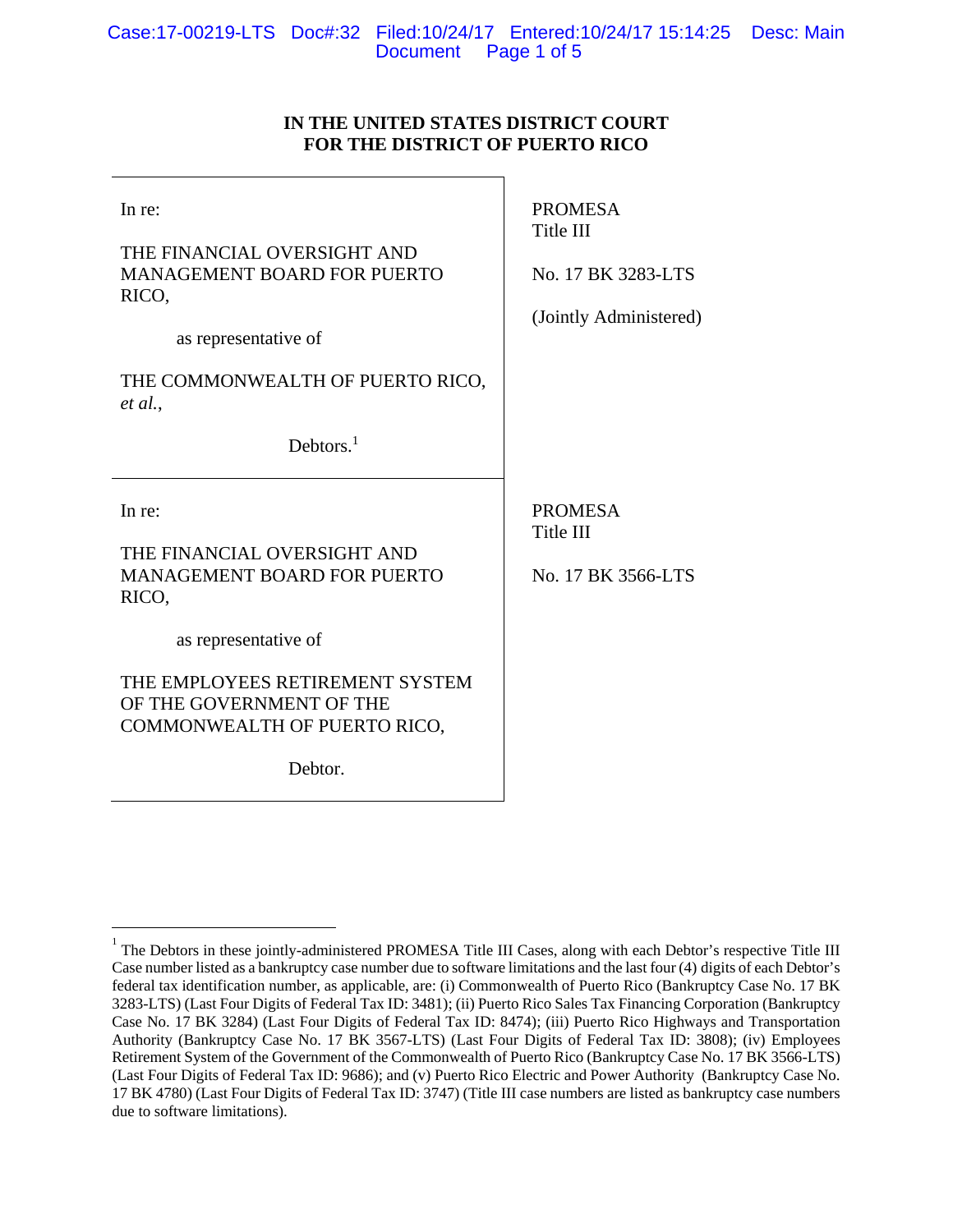## **IN THE UNITED STATES DISTRICT COURT FOR THE DISTRICT OF PUERTO RICO**

| In re:<br>THE FINANCIAL OVERSIGHT AND<br><b>MANAGEMENT BOARD FOR PUERTO</b><br>RICO,<br>as representative of<br>THE COMMONWEALTH OF PUERTO RICO,<br>et al.,<br>Debtors. <sup>1</sup> | <b>PROMESA</b><br>Title III<br>No. 17 BK 3283-LTS<br>(Jointly Administered) |
|--------------------------------------------------------------------------------------------------------------------------------------------------------------------------------------|-----------------------------------------------------------------------------|
|                                                                                                                                                                                      |                                                                             |
| In re:<br>THE FINANCIAL OVERSIGHT AND<br><b>MANAGEMENT BOARD FOR PUERTO</b><br>RICO,                                                                                                 | <b>PROMESA</b><br>Title III<br>No. 17 BK 3566-LTS                           |
| as representative of                                                                                                                                                                 |                                                                             |
| THE EMPLOYEES RETIREMENT SYSTEM<br>OF THE GOVERNMENT OF THE<br>COMMONWEALTH OF PUERTO RICO,                                                                                          |                                                                             |

 $\overline{a}$ 

<sup>1</sup> The Debtors in these jointly-administered PROMESA Title III Cases, along with each Debtor's respective Title III Case number listed as a bankruptcy case number due to software limitations and the last four (4) digits of each Debtor's federal tax identification number, as applicable, are: (i) Commonwealth of Puerto Rico (Bankruptcy Case No. 17 BK 3283-LTS) (Last Four Digits of Federal Tax ID: 3481); (ii) Puerto Rico Sales Tax Financing Corporation (Bankruptcy Case No. 17 BK 3284) (Last Four Digits of Federal Tax ID: 8474); (iii) Puerto Rico Highways and Transportation Authority (Bankruptcy Case No. 17 BK 3567-LTS) (Last Four Digits of Federal Tax ID: 3808); (iv) Employees Retirement System of the Government of the Commonwealth of Puerto Rico (Bankruptcy Case No. 17 BK 3566-LTS) (Last Four Digits of Federal Tax ID: 9686); and (v) Puerto Rico Electric and Power Authority (Bankruptcy Case No. 17 BK 4780) (Last Four Digits of Federal Tax ID: 3747) (Title III case numbers are listed as bankruptcy case numbers due to software limitations).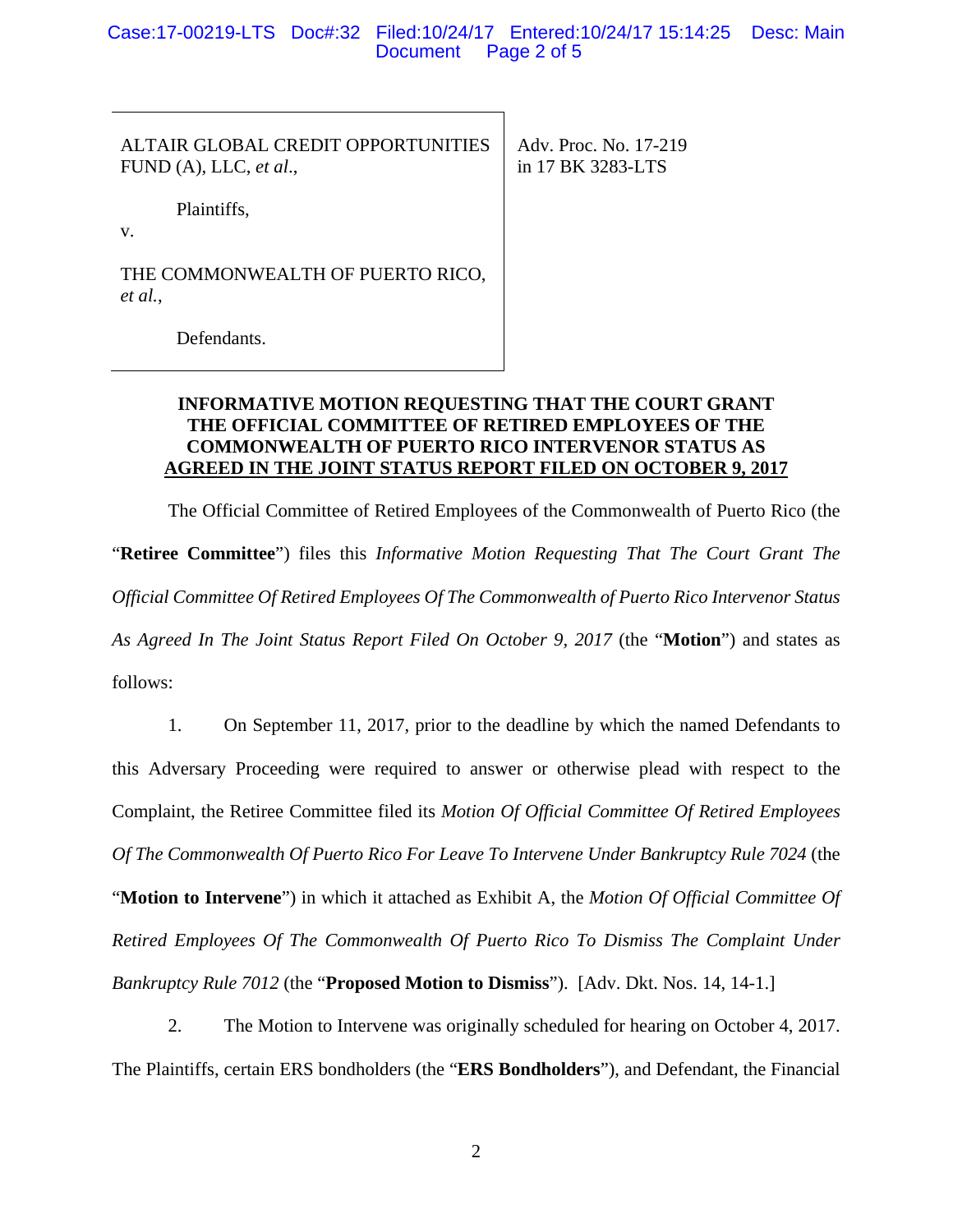Case:17-00219-LTS Doc#:32 Filed:10/24/17 Entered:10/24/17 15:14:25 Desc: Main **Document** 

ALTAIR GLOBAL CREDIT OPPORTUNITIES FUND (A), LLC, *et al*.,

 Adv. Proc. No. 17-219 in 17 BK 3283-LTS

Plaintiffs,

v.

THE COMMONWEALTH OF PUERTO RICO, *et al.*,

Defendants.

# **INFORMATIVE MOTION REQUESTING THAT THE COURT GRANT THE OFFICIAL COMMITTEE OF RETIRED EMPLOYEES OF THE COMMONWEALTH OF PUERTO RICO INTERVENOR STATUS AS AGREED IN THE JOINT STATUS REPORT FILED ON OCTOBER 9, 2017**

The Official Committee of Retired Employees of the Commonwealth of Puerto Rico (the "**Retiree Committee**") files this *Informative Motion Requesting That The Court Grant The Official Committee Of Retired Employees Of The Commonwealth of Puerto Rico Intervenor Status As Agreed In The Joint Status Report Filed On October 9, 2017* (the "**Motion**") and states as follows:

1. On September 11, 2017, prior to the deadline by which the named Defendants to this Adversary Proceeding were required to answer or otherwise plead with respect to the Complaint, the Retiree Committee filed its *Motion Of Official Committee Of Retired Employees Of The Commonwealth Of Puerto Rico For Leave To Intervene Under Bankruptcy Rule 7024* (the "**Motion to Intervene**") in which it attached as Exhibit A, the *Motion Of Official Committee Of Retired Employees Of The Commonwealth Of Puerto Rico To Dismiss The Complaint Under Bankruptcy Rule 7012* (the "**Proposed Motion to Dismiss**"). [Adv. Dkt. Nos. 14, 14-1.]

2. The Motion to Intervene was originally scheduled for hearing on October 4, 2017. The Plaintiffs, certain ERS bondholders (the "**ERS Bondholders**"), and Defendant, the Financial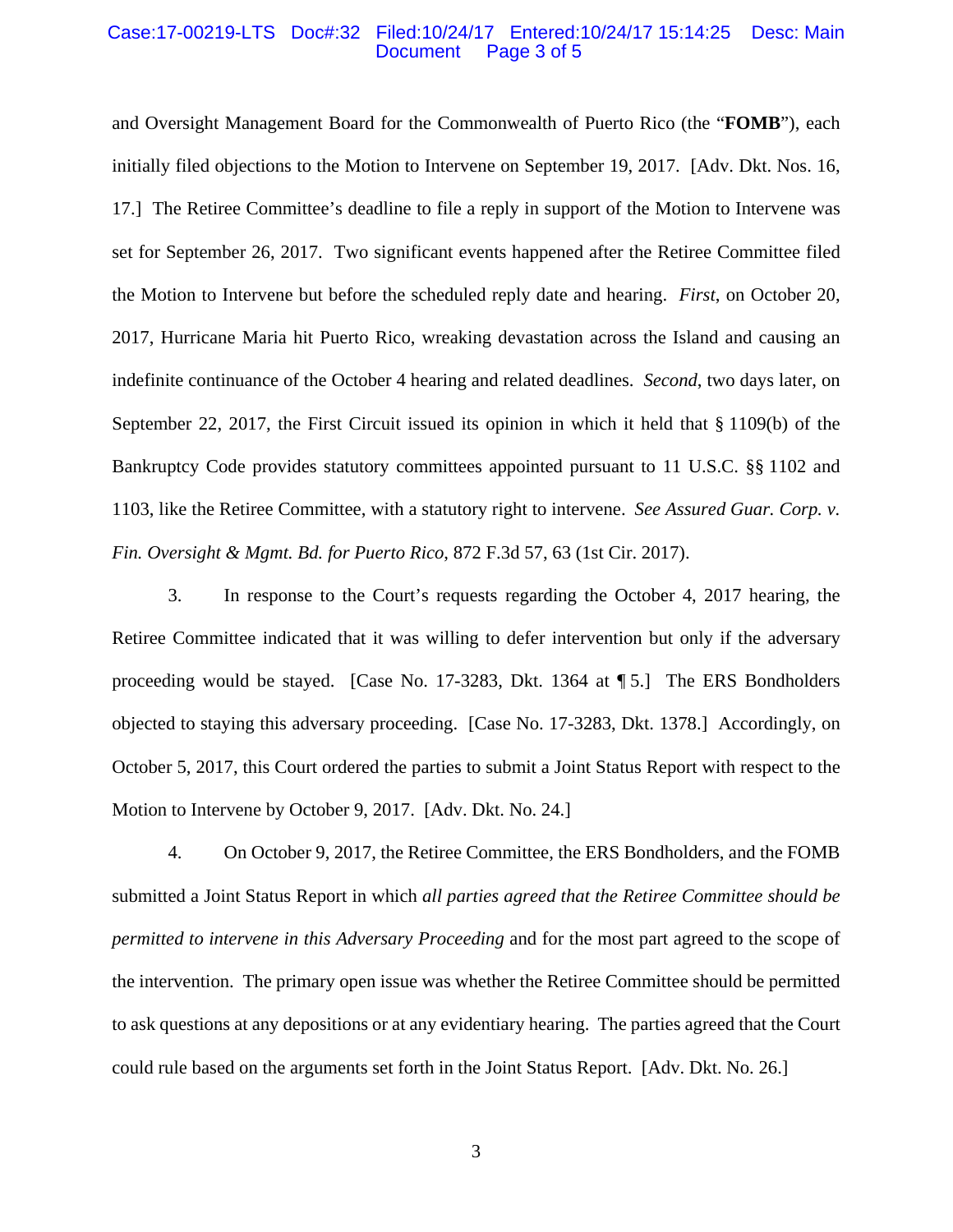#### Case:17-00219-LTS Doc#:32 Filed:10/24/17 Entered:10/24/17 15:14:25 Desc: Main Page 3 of 5

and Oversight Management Board for the Commonwealth of Puerto Rico (the "**FOMB**"), each initially filed objections to the Motion to Intervene on September 19, 2017. [Adv. Dkt. Nos. 16, 17.] The Retiree Committee's deadline to file a reply in support of the Motion to Intervene was set for September 26, 2017. Two significant events happened after the Retiree Committee filed the Motion to Intervene but before the scheduled reply date and hearing. *First*, on October 20, 2017, Hurricane Maria hit Puerto Rico, wreaking devastation across the Island and causing an indefinite continuance of the October 4 hearing and related deadlines. *Second*, two days later, on September 22, 2017, the First Circuit issued its opinion in which it held that § 1109(b) of the Bankruptcy Code provides statutory committees appointed pursuant to 11 U.S.C. §§ 1102 and 1103, like the Retiree Committee, with a statutory right to intervene. *See Assured Guar. Corp. v. Fin. Oversight & Mgmt. Bd. for Puerto Rico*, 872 F.3d 57, 63 (1st Cir. 2017).

3. In response to the Court's requests regarding the October 4, 2017 hearing, the Retiree Committee indicated that it was willing to defer intervention but only if the adversary proceeding would be stayed. [Case No. 17-3283, Dkt. 1364 at ¶ 5.] The ERS Bondholders objected to staying this adversary proceeding. [Case No. 17-3283, Dkt. 1378.] Accordingly, on October 5, 2017, this Court ordered the parties to submit a Joint Status Report with respect to the Motion to Intervene by October 9, 2017. [Adv. Dkt. No. 24.]

4. On October 9, 2017, the Retiree Committee, the ERS Bondholders, and the FOMB submitted a Joint Status Report in which *all parties agreed that the Retiree Committee should be permitted to intervene in this Adversary Proceeding* and for the most part agreed to the scope of the intervention. The primary open issue was whether the Retiree Committee should be permitted to ask questions at any depositions or at any evidentiary hearing. The parties agreed that the Court could rule based on the arguments set forth in the Joint Status Report. [Adv. Dkt. No. 26.]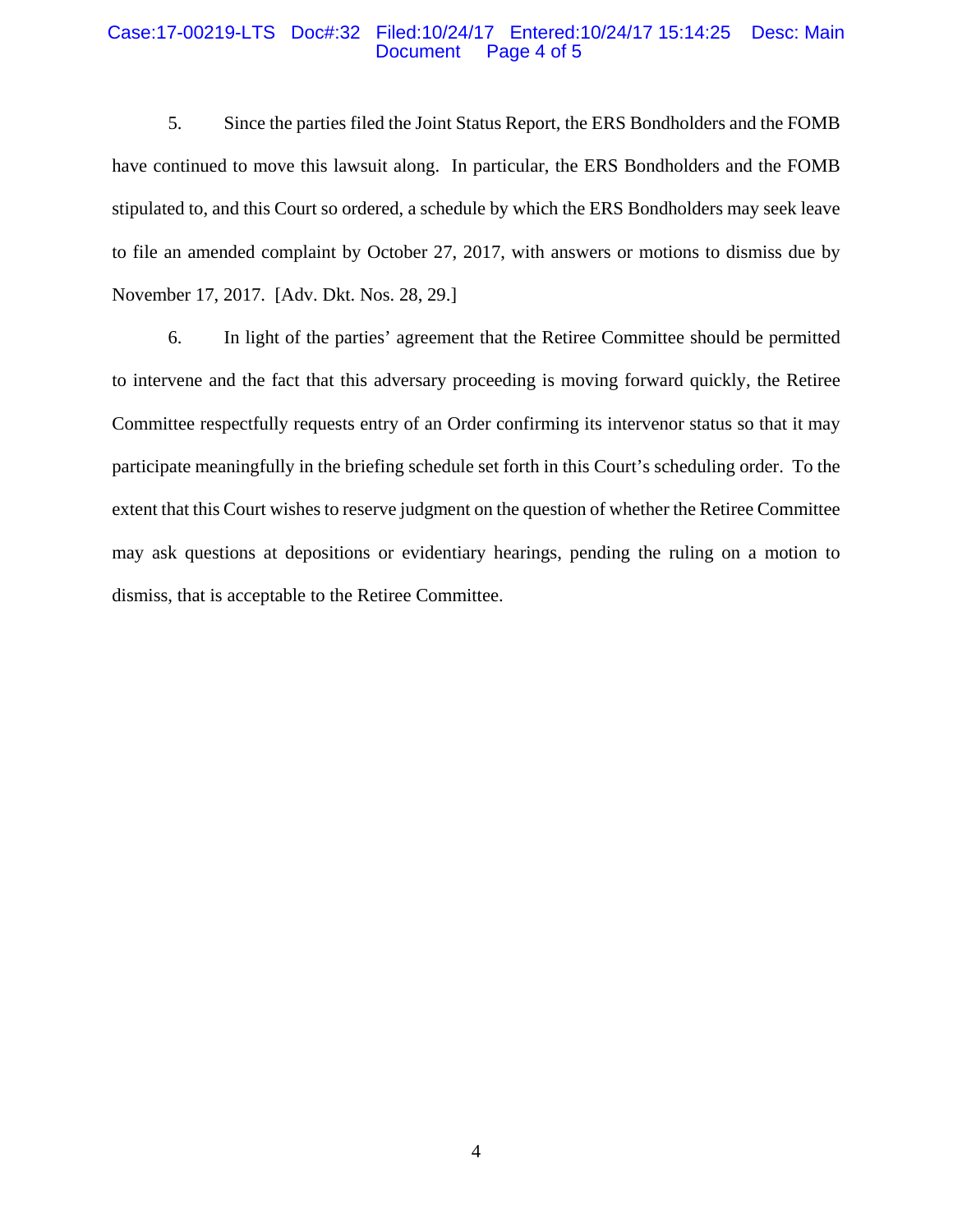### Case:17-00219-LTS Doc#:32 Filed:10/24/17 Entered:10/24/17 15:14:25 Desc: Main Page 4 of 5

5. Since the parties filed the Joint Status Report, the ERS Bondholders and the FOMB have continued to move this lawsuit along. In particular, the ERS Bondholders and the FOMB stipulated to, and this Court so ordered, a schedule by which the ERS Bondholders may seek leave to file an amended complaint by October 27, 2017, with answers or motions to dismiss due by November 17, 2017. [Adv. Dkt. Nos. 28, 29.]

6. In light of the parties' agreement that the Retiree Committee should be permitted to intervene and the fact that this adversary proceeding is moving forward quickly, the Retiree Committee respectfully requests entry of an Order confirming its intervenor status so that it may participate meaningfully in the briefing schedule set forth in this Court's scheduling order. To the extent that this Court wishes to reserve judgment on the question of whether the Retiree Committee may ask questions at depositions or evidentiary hearings, pending the ruling on a motion to dismiss, that is acceptable to the Retiree Committee.